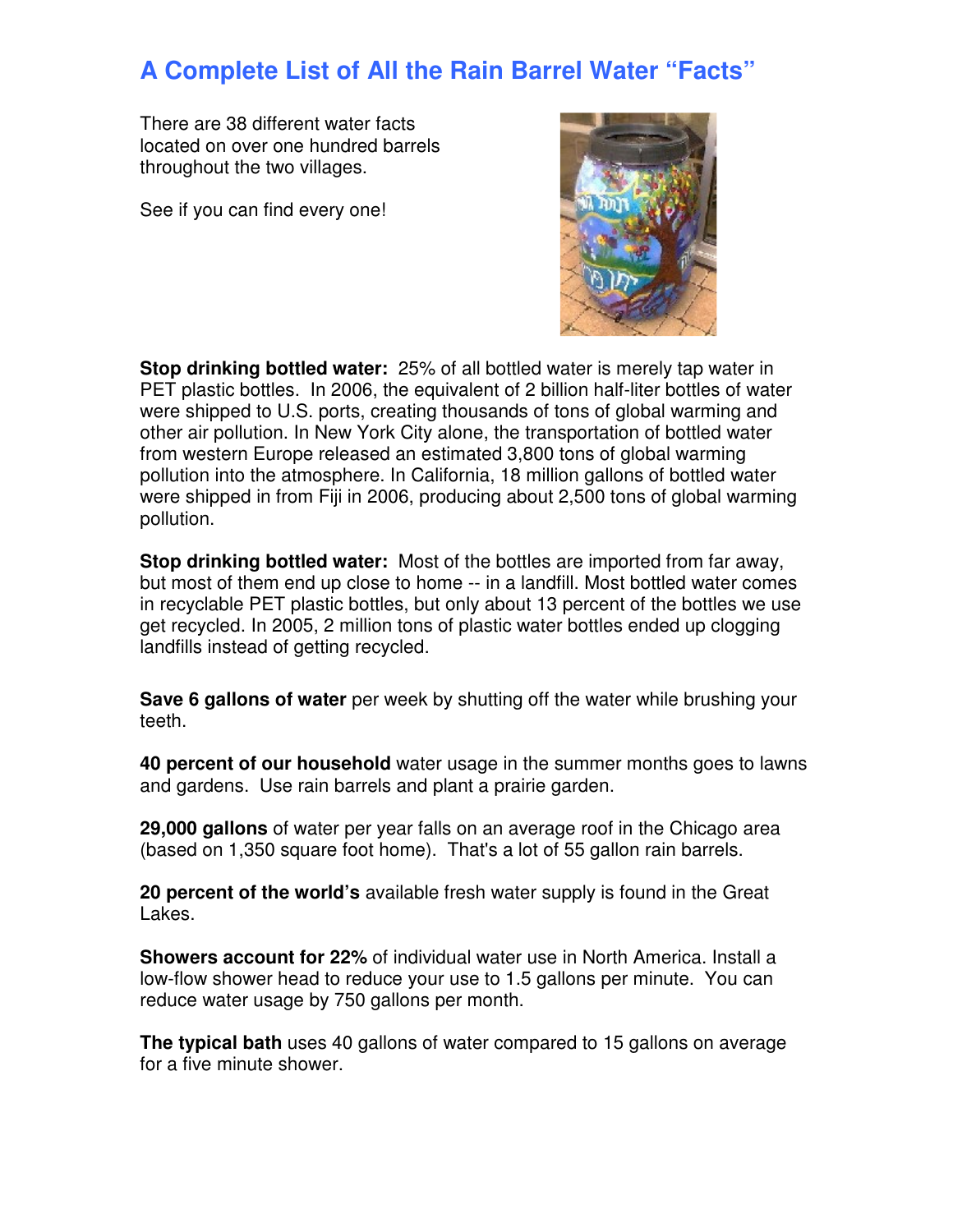## **A Complete List of All the Rain Barrel Water "Facts"**

There are 38 different water facts located on over one hundred barrels throughout the two villages.

See if you can find every one!



**Stop drinking bottled water:** 25% of all bottled water is merely tap water in PET plastic bottles. In 2006, the equivalent of 2 billion half-liter bottles of water were shipped to U.S. ports, creating thousands of tons of global warming and other air pollution. In New York City alone, the transportation of bottled water from western Europe released an estimated 3,800 tons of global warming pollution into the atmosphere. In California, 18 million gallons of bottled water were shipped in from Fiji in 2006, producing about 2,500 tons of global warming pollution.

**Stop drinking bottled water:** Most of the bottles are imported from far away, but most of them end up close to home -- in a landfill. Most bottled water comes in recyclable PET plastic bottles, but only about 13 percent of the bottles we use get recycled. In 2005, 2 million tons of plastic water bottles ended up clogging landfills instead of getting recycled.

**Save 6 gallons of water** per week by shutting off the water while brushing your teeth.

**40 percent of our household** water usage in the summer months goes to lawns and gardens. Use rain barrels and plant a prairie garden.

**29,000 gallons** of water per year falls on an average roof in the Chicago area (based on 1,350 square foot home). That's a lot of 55 gallon rain barrels.

**20 percent of the world's** available fresh water supply is found in the Great Lakes.

**Showers account for 22%** of individual water use in North America. Install a low-flow shower head to reduce your use to 1.5 gallons per minute. You can reduce water usage by 750 gallons per month.

**The typical bath** uses 40 gallons of water compared to 15 gallons on average for a five minute shower.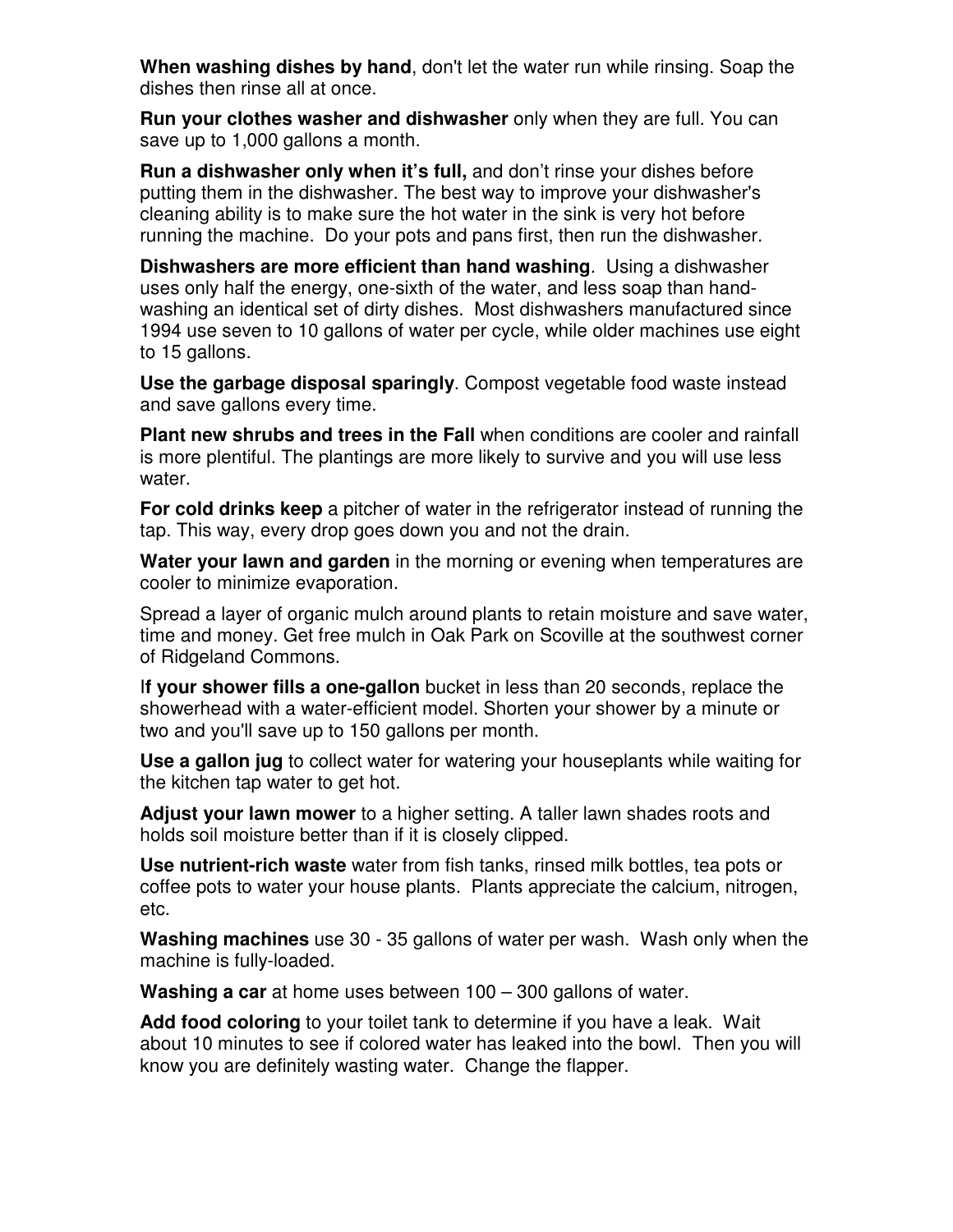**When washing dishes by hand**, don't let the water run while rinsing. Soap the dishes then rinse all at once.

**Run your clothes washer and dishwasher** only when they are full. You can save up to 1,000 gallons a month.

**Run a dishwasher only when it's full,** and don't rinse your dishes before putting them in the dishwasher. The best way to improve your dishwasher's cleaning ability is to make sure the hot water in the sink is very hot before running the machine. Do your pots and pans first, then run the dishwasher.

**Dishwashers are more efficient than hand washing**. Using a dishwasher uses only half the energy, one-sixth of the water, and less soap than handwashing an identical set of dirty dishes. Most dishwashers manufactured since 1994 use seven to 10 gallons of water per cycle, while older machines use eight to 15 gallons.

**Use the garbage disposal sparingly**. Compost vegetable food waste instead and save gallons every time.

**Plant new shrubs and trees in the Fall** when conditions are cooler and rainfall is more plentiful. The plantings are more likely to survive and you will use less water.

**For cold drinks keep** a pitcher of water in the refrigerator instead of running the tap. This way, every drop goes down you and not the drain.

**Water your lawn and garden** in the morning or evening when temperatures are cooler to minimize evaporation.

Spread a layer of organic mulch around plants to retain moisture and save water, time and money. Get free mulch in Oak Park on Scoville at the southwest corner of Ridgeland Commons.

I**f your shower fills a one-gallon** bucket in less than 20 seconds, replace the showerhead with a water-efficient model. Shorten your shower by a minute or two and you'll save up to 150 gallons per month.

**Use a gallon jug** to collect water for watering your houseplants while waiting for the kitchen tap water to get hot.

**Adjust your lawn mower** to a higher setting. A taller lawn shades roots and holds soil moisture better than if it is closely clipped.

**Use nutrient-rich waste** water from fish tanks, rinsed milk bottles, tea pots or coffee pots to water your house plants. Plants appreciate the calcium, nitrogen, etc.

**Washing machines** use 30 - 35 gallons of water per wash. Wash only when the machine is fully-loaded.

**Washing a car** at home uses between 100 – 300 gallons of water.

**Add food coloring** to your toilet tank to determine if you have a leak. Wait about 10 minutes to see if colored water has leaked into the bowl. Then you will know you are definitely wasting water. Change the flapper.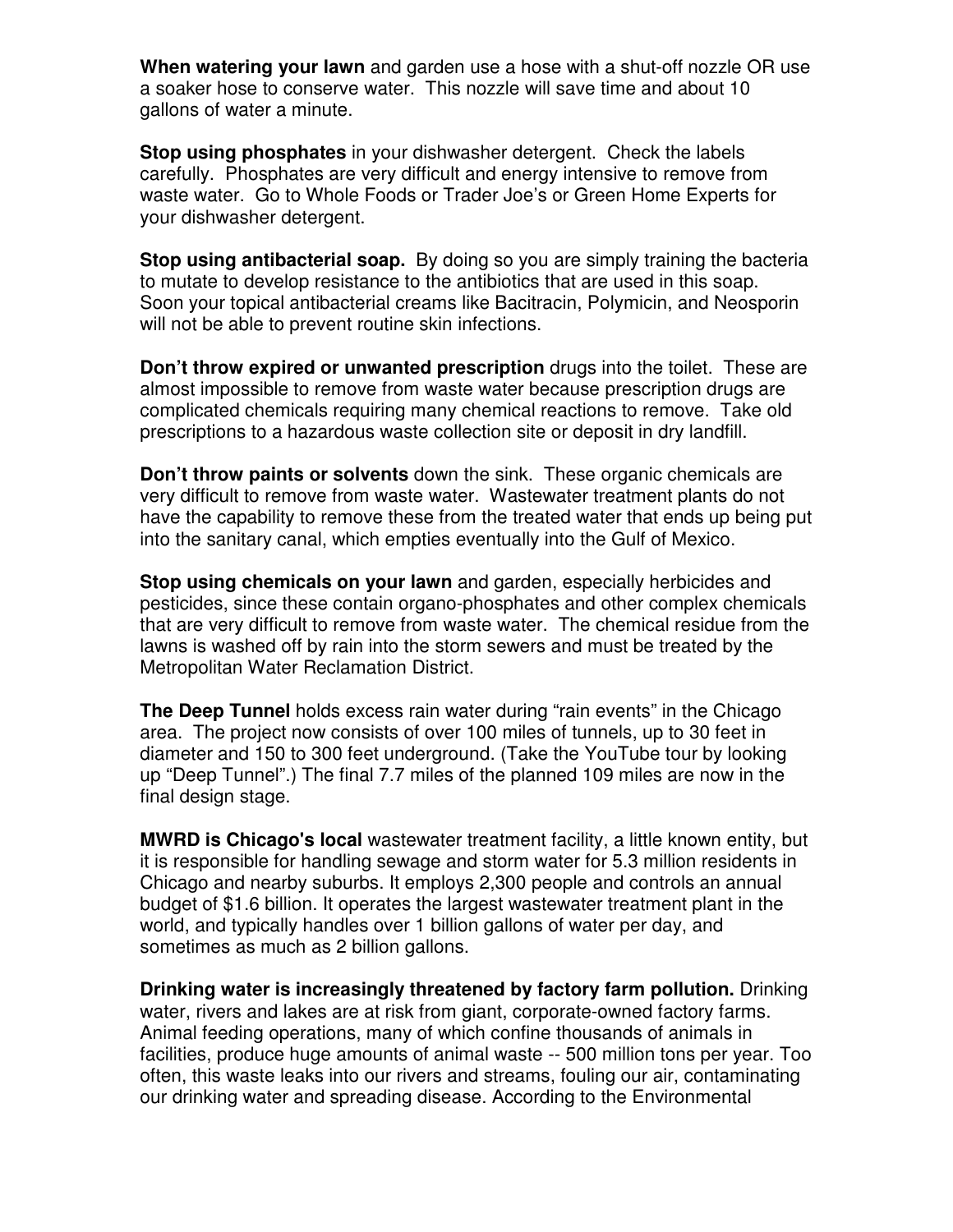**When watering your lawn** and garden use a hose with a shut-off nozzle OR use a soaker hose to conserve water. This nozzle will save time and about 10 gallons of water a minute.

**Stop using phosphates** in your dishwasher detergent. Check the labels carefully. Phosphates are very difficult and energy intensive to remove from waste water. Go to Whole Foods or Trader Joe's or Green Home Experts for your dishwasher detergent.

**Stop using antibacterial soap.** By doing so you are simply training the bacteria to mutate to develop resistance to the antibiotics that are used in this soap. Soon your topical antibacterial creams like Bacitracin, Polymicin, and Neosporin will not be able to prevent routine skin infections.

**Don't throw expired or unwanted prescription** drugs into the toilet. These are almost impossible to remove from waste water because prescription drugs are complicated chemicals requiring many chemical reactions to remove. Take old prescriptions to a hazardous waste collection site or deposit in dry landfill.

**Don't throw paints or solvents** down the sink. These organic chemicals are very difficult to remove from waste water. Wastewater treatment plants do not have the capability to remove these from the treated water that ends up being put into the sanitary canal, which empties eventually into the Gulf of Mexico.

**Stop using chemicals on your lawn** and garden, especially herbicides and pesticides, since these contain organo-phosphates and other complex chemicals that are very difficult to remove from waste water. The chemical residue from the lawns is washed off by rain into the storm sewers and must be treated by the Metropolitan Water Reclamation District.

**The Deep Tunnel** holds excess rain water during "rain events" in the Chicago area. The project now consists of over 100 miles of tunnels, up to 30 feet in diameter and 150 to 300 feet underground. (Take the YouTube tour by looking up "Deep Tunnel".) The final 7.7 miles of the planned 109 miles are now in the final design stage.

**MWRD is Chicago's local** wastewater treatment facility, a little known entity, but it is responsible for handling sewage and storm water for 5.3 million residents in Chicago and nearby suburbs. It employs 2,300 people and controls an annual budget of \$1.6 billion. It operates the largest wastewater treatment plant in the world, and typically handles over 1 billion gallons of water per day, and sometimes as much as 2 billion gallons.

**Drinking water is increasingly threatened by factory farm pollution.** Drinking water, rivers and lakes are at risk from giant, corporate-owned factory farms. Animal feeding operations, many of which confine thousands of animals in facilities, produce huge amounts of animal waste -- 500 million tons per year. Too often, this waste leaks into our rivers and streams, fouling our air, contaminating our drinking water and spreading disease. According to the Environmental